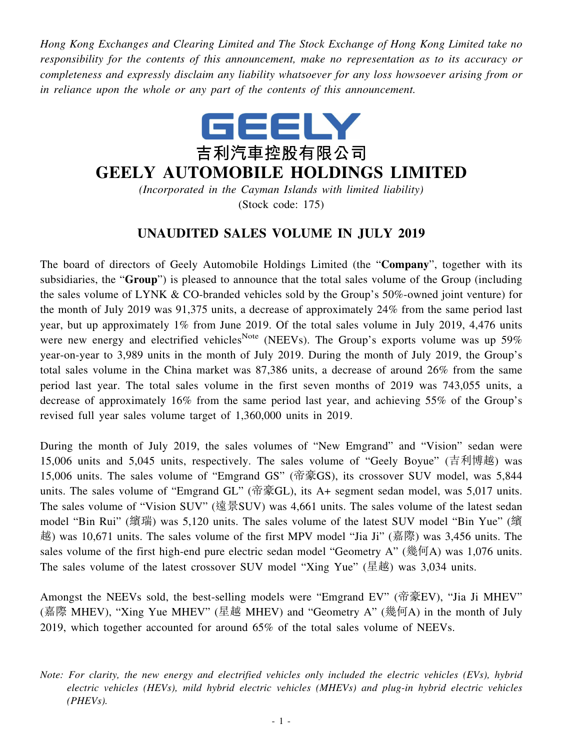*Hong Kong Exchanges and Clearing Limited and The Stock Exchange of Hong Kong Limited take no responsibility for the contents of this announcement, make no representation as to its accuracy or completeness and expressly disclaim any liability whatsoever for any loss howsoever arising from or in reliance upon the whole or any part of the contents of this announcement.*



## **GEELY AUTOMOBILE HOLDINGS LIMITED**

*(Incorporated in the Cayman Islands with limited liability)* (Stock code: 175)

## **UNAUDITED SALES VOLUME IN JULY 2019**

The board of directors of Geely Automobile Holdings Limited (the "**Company**", together with its subsidiaries, the "**Group**") is pleased to announce that the total sales volume of the Group (including the sales volume of LYNK & CO-branded vehicles sold by the Group's 50%-owned joint venture) for the month of July 2019 was 91,375 units, a decrease of approximately 24% from the same period last year, but up approximately 1% from June 2019. Of the total sales volume in July 2019, 4,476 units were new energy and electrified vehicles<sup>Note</sup> (NEEVs). The Group's exports volume was up 59% year-on-year to 3,989 units in the month of July 2019. During the month of July 2019, the Group's total sales volume in the China market was 87,386 units, a decrease of around 26% from the same period last year. The total sales volume in the first seven months of 2019 was 743,055 units, a decrease of approximately 16% from the same period last year, and achieving 55% of the Group's revised full year sales volume target of 1,360,000 units in 2019.

During the month of July 2019, the sales volumes of "New Emgrand" and "Vision" sedan were 15,006 units and 5,045 units, respectively. The sales volume of "Geely Boyue" (吉利博越) was 15,006 units. The sales volume of "Emgrand GS" (帝豪GS), its crossover SUV model, was 5,844 units. The sales volume of "Emgrand GL" (帝豪GL), its A+ segment sedan model, was 5,017 units. The sales volume of "Vision SUV" (遠景SUV) was 4,661 units. The sales volume of the latest sedan model "Bin Rui" (繽瑞) was 5,120 units. The sales volume of the latest SUV model "Bin Yue" (繽 越) was 10,671 units. The sales volume of the first MPV model "Jia Ji" (嘉際) was 3,456 units. The sales volume of the first high-end pure electric sedan model "Geometry A" (幾何A) was 1,076 units. The sales volume of the latest crossover SUV model "Xing Yue" (星越) was 3,034 units.

Amongst the NEEVs sold, the best-selling models were "Emgrand EV" (帝豪EV), "Jia Ji MHEV" (嘉際 MHEV), "Xing Yue MHEV" (星越 MHEV) and "Geometry A" (幾何A) in the month of July 2019, which together accounted for around 65% of the total sales volume of NEEVs.

*Note: For clarity, the new energy and electrified vehicles only included the electric vehicles (EVs), hybrid electric vehicles (HEVs), mild hybrid electric vehicles (MHEVs) and plug-in hybrid electric vehicles (PHEVs).*